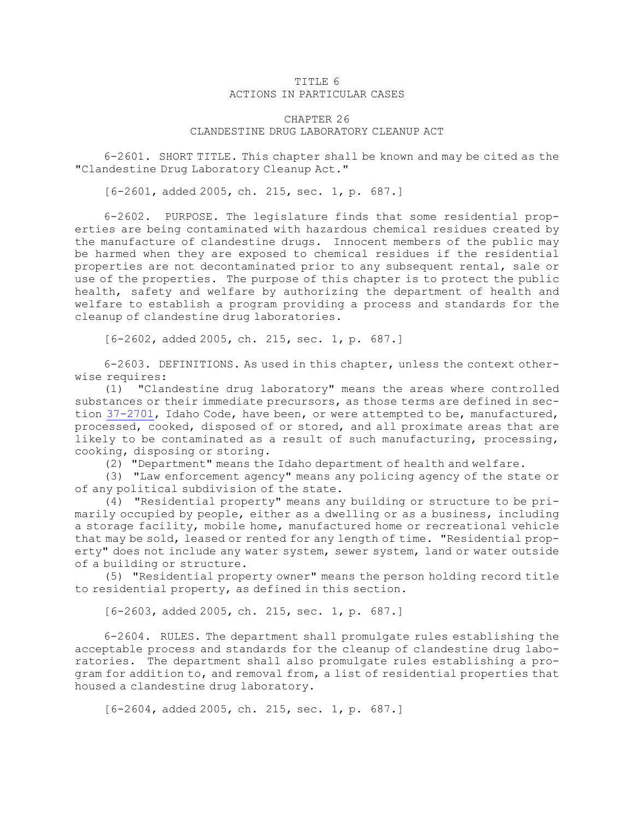## TITLE 6 ACTIONS IN PARTICULAR CASES

## CHAPTER 26 CLANDESTINE DRUG LABORATORY CLEANUP ACT

6-2601. SHORT TITLE. This chapter shall be known and may be cited as the "Clandestine Drug Laboratory Cleanup Act."

[6-2601, added 2005, ch. 215, sec. 1, p. 687.]

6-2602. PURPOSE. The legislature finds that some residential properties are being contaminated with hazardous chemical residues created by the manufacture of clandestine drugs. Innocent members of the public may be harmed when they are exposed to chemical residues if the residential properties are not decontaminated prior to any subsequent rental, sale or use of the properties. The purpose of this chapter is to protect the public health, safety and welfare by authorizing the department of health and welfare to establish <sup>a</sup> program providing <sup>a</sup> process and standards for the cleanup of clandestine drug laboratories.

[6-2602, added 2005, ch. 215, sec. 1, p. 687.]

6-2603. DEFINITIONS. As used in this chapter, unless the context otherwise requires:

(1) "Clandestine drug laboratory" means the areas where controlled substances or their immediate precursors, as those terms are defined in section [37-2701](https://legislature.idaho.gov/statutesrules/idstat/Title37/T37CH27/SECT37-2701), Idaho Code, have been, or were attempted to be, manufactured, processed, cooked, disposed of or stored, and all proximate areas that are likely to be contaminated as <sup>a</sup> result of such manufacturing, processing, cooking, disposing or storing.

(2) "Department" means the Idaho department of health and welfare.

(3) "Law enforcement agency" means any policing agency of the state or of any political subdivision of the state.

(4) "Residential property" means any building or structure to be primarily occupied by people, either as <sup>a</sup> dwelling or as <sup>a</sup> business, including <sup>a</sup> storage facility, mobile home, manufactured home or recreational vehicle that may be sold, leased or rented for any length of time. "Residential property" does not include any water system, sewer system, land or water outside of <sup>a</sup> building or structure.

(5) "Residential property owner" means the person holding record title to residential property, as defined in this section.

[6-2603, added 2005, ch. 215, sec. 1, p. 687.]

6-2604. RULES. The department shall promulgate rules establishing the acceptable process and standards for the cleanup of clandestine drug laboratories. The department shall also promulgate rules establishing <sup>a</sup> program for addition to, and removal from, <sup>a</sup> list of residential properties that housed <sup>a</sup> clandestine drug laboratory.

[6-2604, added 2005, ch. 215, sec. 1, p. 687.]